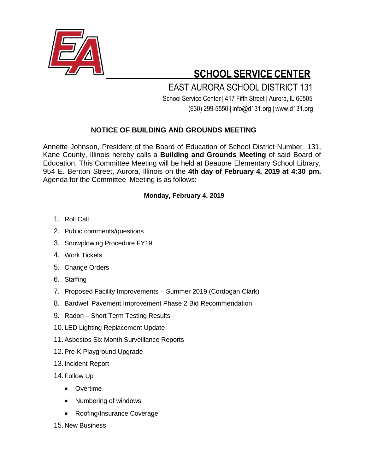

## **SCHOOL SERVICE CENTER**

 EAST AURORA SCHOOL DISTRICT 131 School Service Center | 417 Fifth Street | Aurora, IL 60505 (630) 299-5550 | [info@d131.org](mailto:info@d131.org) | [www.d131.org](http://www.d131.org/)

## **NOTICE OF BUILDING AND GROUNDS MEETING**

Annette Johnson, President of the Board of Education of School District Number 131, Kane County, Illinois hereby calls a **Building and Grounds Meeting** of said Board of Education. This Committee Meeting will be held at Beaupre Elementary School Library, 954 E. Benton Street, Aurora, Illinois on the **4th day of February 4, 2019 at 4:30 pm.** Agenda for the Committee Meeting is as follows:

## **Monday, February 4, 2019**

- 1. Roll Call
- 2. Public comments/questions
- 3. Snowplowing Procedure FY19
- 4. Work Tickets
- 5. Change Orders
- 6. Staffing
- 7. Proposed Facility Improvements Summer 2019 (Cordogan Clark)
- 8. Bardwell Pavement Improvement Phase 2 Bid Recommendation
- 9. Radon Short Term Testing Results
- 10. LED Lighting Replacement Update
- 11.Asbestos Six Month Surveillance Reports
- 12.Pre-K Playground Upgrade
- 13. Incident Report
- 14. Follow Up
	- **•** Overtime
	- Numbering of windows
	- Roofing/Insurance Coverage
- 15. New Business